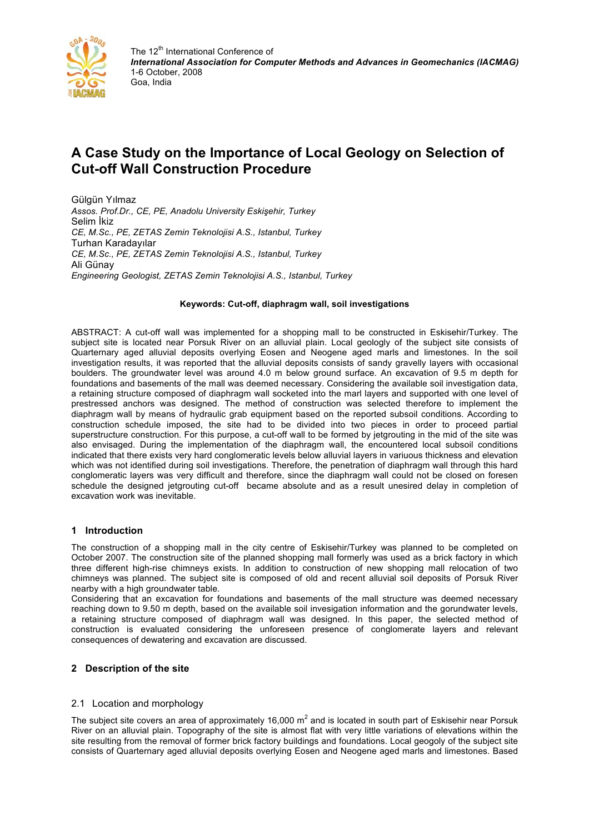

# **A Case Study on the Importance of Local Geology on Selection of Cut-off Wall Construction Procedure**

Gülgün Yılmaz *Assos. Prof.Dr., CE, PE, Anadolu University Eskişehir, Turkey* Selim İkiz *CE, M.Sc., PE, ZETAS Zemin Teknolojisi A.S., Istanbul, Turkey* Turhan Karadayılar *CE, M.Sc., PE, ZETAS Zemin Teknolojisi A.S., Istanbul, Turkey* Ali Günay *Engineering Geologist, ZETAS Zemin Teknolojisi A.S., Istanbul, Turkey*

#### **Keywords: Cut-off, diaphragm wall, soil investigations**

ABSTRACT: A cut-off wall was implemented for a shopping mall to be constructed in Eskisehir/Turkey. The subject site is located near Porsuk River on an alluvial plain. Local geologly of the subject site consists of Quarternary aged alluvial deposits overlying Eosen and Neogene aged marls and limestones. In the soil investigation results, it was reported that the alluvial deposits consists of sandy gravelly layers with occasional boulders. The groundwater level was around 4.0 m below ground surface. An excavation of 9.5 m depth for foundations and basements of the mall was deemed necessary. Considering the available soil investigation data, a retaining structure composed of diaphragm wall socketed into the marl layers and supported with one level of prestressed anchors was designed. The method of construction was selected therefore to implement the diaphragm wall by means of hydraulic grab equipment based on the reported subsoil conditions. According to construction schedule imposed, the site had to be divided into two pieces in order to proceed partial superstructure construction. For this purpose, a cut-off wall to be formed by jetgrouting in the mid of the site was also envisaged. During the implementation of the diaphragm wall, the encountered local subsoil conditions indicated that there exists very hard conglomeratic levels below alluvial layers in variuous thickness and elevation which was not identified during soil investigations. Therefore, the penetration of diaphragm wall through this hard conglomeratic layers was very difficult and therefore, since the diaphragm wall could not be closed on foresen schedule the designed jetgrouting cut-off became absolute and as a result unesired delay in completion of excavation work was inevitable.

## **1 Introduction**

The construction of a shopping mall in the city centre of Eskisehir/Turkey was planned to be completed on October 2007. The construction site of the planned shopping mall formerly was used as a brick factory in which three different high-rise chimneys exists. In addition to construction of new shopping mall relocation of two chimneys was planned. The subject site is composed of old and recent alluvial soil deposits of Porsuk River nearby with a high groundwater table.

Considering that an excavation for foundations and basements of the mall structure was deemed necessary reaching down to 9.50 m depth, based on the available soil invesigation information and the gorundwater levels, a retaining structure composed of diaphragm wall was designed. In this paper, the selected method of construction is evaluated considering the unforeseen presence of conglomerate layers and relevant consequences of dewatering and excavation are discussed.

## **2 Description of the site**

#### 2.1 Location and morphology

The subject site covers an area of approximately 16,000  $m^2$  and is located in south part of Eskisehir near Porsuk River on an alluvial plain. Topography of the site is almost flat with very little variations of elevations within the site resulting from the removal of former brick factory buildings and foundations. Local geogoly of the subject site consists of Quarternary aged alluvial deposits overlying Eosen and Neogene aged marls and limestones. Based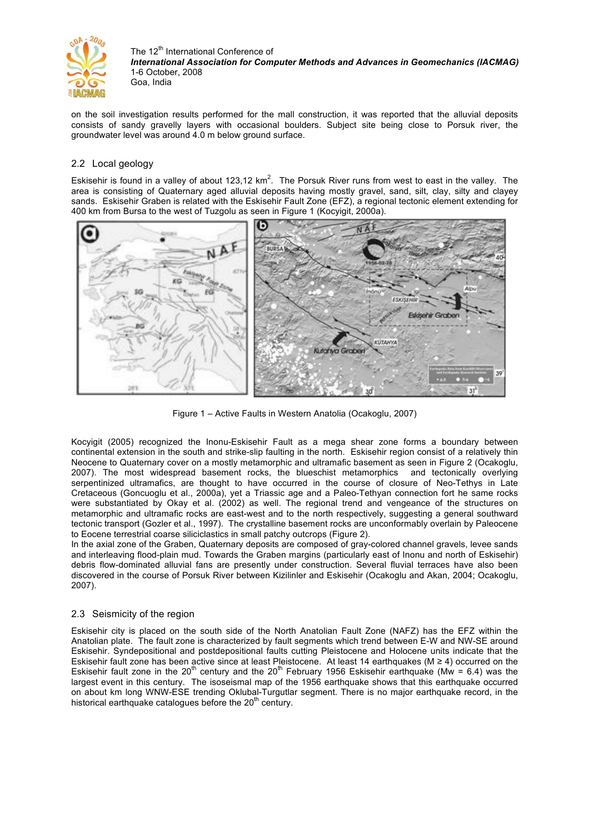

on the soil investigation results performed for the mall construction, it was reported that the alluvial deposits consists of sandy gravelly layers with occasional boulders. Subject site being close to Porsuk river, the groundwater level was around 4.0 m below ground surface.

## 2.2 Local geology

Eskisehir is found in a valley of about 123,12 km<sup>2</sup>. The Porsuk River runs from west to east in the valley. The area is consisting of Quaternary aged alluvial deposits having mostly gravel, sand, silt, clay, silty and clayey sands. Eskisehir Graben is related with the Eskisehir Fault Zone (EFZ), a regional tectonic element extending for 400 km from Bursa to the west of Tuzgolu as seen in Figure 1 (Kocyigit, 2000a).



Figure 1 – Active Faults in Western Anatolia (Ocakoglu, 2007)

Kocyigit (2005) recognized the Inonu-Eskisehir Fault as a mega shear zone forms a boundary between continental extension in the south and strike-slip faulting in the north. Eskisehir region consist of a relatively thin Neocene to Quaternary cover on a mostly metamorphic and ultramafic basement as seen in Figure 2 (Ocakoglu, 2007). The most widespread basement rocks, the blueschist metamorphics and tectonically overlying serpentinized ultramafics, are thought to have occurred in the course of closure of Neo-Tethys in Late Cretaceous (Goncuoglu et al., 2000a), yet a Triassic age and a Paleo-Tethyan connection fort he same rocks were substantiated by Okay et al. (2002) as well. The regional trend and vengeance of the structures on metamorphic and ultramafic rocks are east-west and to the north respectively, suggesting a general southward tectonic transport (Gozler et al., 1997). The crystalline basement rocks are unconformably overlain by Paleocene to Eocene terrestrial coarse siliciclastics in small patchy outcrops (Figure 2).

In the axial zone of the Graben, Quaternary deposits are composed of gray-colored channel gravels, levee sands and interleaving flood-plain mud. Towards the Graben margins (particularly east of Inonu and north of Eskisehir) debris flow-dominated alluvial fans are presently under construction. Several fluvial terraces have also been discovered in the course of Porsuk River between Kizilinler and Eskisehir (Ocakoglu and Akan, 2004; Ocakoglu, 2007).

# 2.3 Seismicity of the region

Eskisehir city is placed on the south side of the North Anatolian Fault Zone (NAFZ) has the EFZ within the Anatolian plate. The fault zone is characterized by fault segments which trend between E-W and NW-SE around Eskisehir. Syndepositional and postdepositional faults cutting Pleistocene and Holocene units indicate that the Eskisehir fault zone has been active since at least Pleistocene. At least 14 earthquakes (M ≥ 4) occurred on the Eskisehir fault zone in the  $20^{th}$  century and the  $20^{th}$  February 1956 Eskisehir earthquake (Mw = 6.4) was the largest event in this century. The isoseismal map of the 1956 earthquake shows that this earthquake occurred on about km long WNW-ESE trending Oklubal-Turgutlar segment. There is no major earthquake record, in the historical earthquake catalogues before the  $20<sup>th</sup>$  century.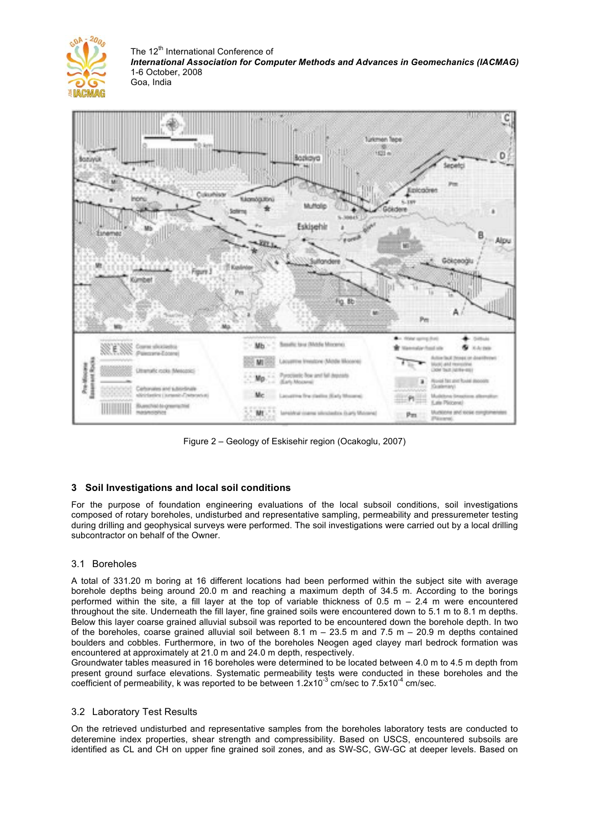



Figure 2 – Geology of Eskisehir region (Ocakoglu, 2007)

# **3 Soil Investigations and local soil conditions**

For the purpose of foundation engineering evaluations of the local subsoil conditions, soil investigations composed of rotary boreholes, undisturbed and representative sampling, permeability and pressuremeter testing during drilling and geophysical surveys were performed. The soil investigations were carried out by a local drilling subcontractor on behalf of the Owner.

## 3.1 Boreholes

A total of 331.20 m boring at 16 different locations had been performed within the subject site with average borehole depths being around 20.0 m and reaching a maximum depth of 34.5 m. According to the borings performed within the site, a fill layer at the top of variable thickness of 0.5 m – 2.4 m were encountered throughout the site. Underneath the fill layer, fine grained soils were encountered down to 5.1 m to 8.1 m depths. Below this layer coarse grained alluvial subsoil was reported to be encountered down the borehole depth. In two of the boreholes, coarse grained alluvial soil between  $8.1 \text{ m} - 23.5 \text{ m}$  and  $7.5 \text{ m} - 20.9 \text{ m}$  depths contained boulders and cobbles. Furthermore, in two of the boreholes Neogen aged clayey marl bedrock formation was encountered at approximately at 21.0 m and 24.0 m depth, respectively.

Groundwater tables measured in 16 boreholes were determined to be located between 4.0 m to 4.5 m depth from present ground surface elevations. Systematic permeability tests were conducted in these boreholes and the coefficient of permeability, k was reported to be between  $1.2 \times 10^{-3}$  cm/sec to  $7.5 \times 10^{-4}$  cm/sec.

## 3.2 Laboratory Test Results

On the retrieved undisturbed and representative samples from the boreholes laboratory tests are conducted to deteremine index properties, shear strength and compressibility. Based on USCS, encountered subsoils are identified as CL and CH on upper fine grained soil zones, and as SW-SC, GW-GC at deeper levels. Based on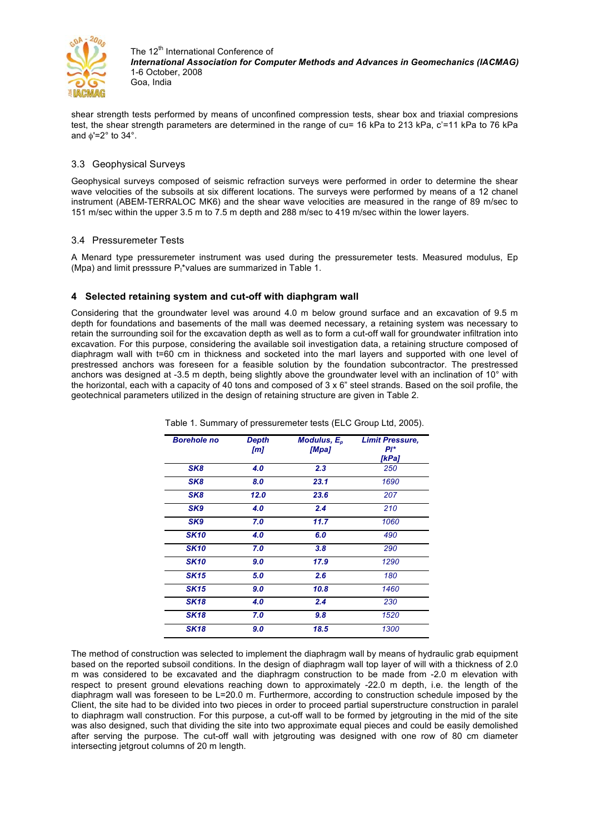

shear strength tests performed by means of unconfined compression tests, shear box and triaxial compresions test, the shear strength parameters are determined in the range of cu= 16 kPa to 213 kPa, c'=11 kPa to 76 kPa and  $\phi$ '=2° to 34°.

## 3.3 Geophysical Surveys

Geophysical surveys composed of seismic refraction surveys were performed in order to determine the shear wave velocities of the subsoils at six different locations. The surveys were performed by means of a 12 chanel instrument (ABEM-TERRALOC MK6) and the shear wave velocities are measured in the range of 89 m/sec to 151 m/sec within the upper 3.5 m to 7.5 m depth and 288 m/sec to 419 m/sec within the lower layers.

## 3.4 Pressuremeter Tests

A Menard type pressuremeter instrument was used during the pressuremeter tests. Measured modulus, Ep (Mpa) and limit presssure P<sub>1</sub>\*values are summarized in Table 1.

## **4 Selected retaining system and cut-off with diaphgram wall**

Considering that the groundwater level was around 4.0 m below ground surface and an excavation of 9.5 m depth for foundations and basements of the mall was deemed necessary, a retaining system was necessary to retain the surrounding soil for the excavation depth as well as to form a cut-off wall for groundwater infiltration into excavation. For this purpose, considering the available soil investigation data, a retaining structure composed of diaphragm wall with t=60 cm in thickness and socketed into the marl layers and supported with one level of prestressed anchors was foreseen for a feasible solution by the foundation subcontractor. The prestressed anchors was designed at -3.5 m depth, being slightly above the groundwater level with an inclination of 10° with the horizontal, each with a capacity of 40 tons and composed of  $3 \times 6$ " steel strands. Based on the soil profile, the geotechnical parameters utilized in the design of retaining structure are given in Table 2.

| <b>Borehole no</b> | <b>Depth</b><br>[m] | Modulus, $E_p$<br>[Mpa] | <b>Limit Pressure,</b><br>Pi*<br>[kPa] |
|--------------------|---------------------|-------------------------|----------------------------------------|
| SK <sub>8</sub>    | 4.0                 | 2.3                     | 250                                    |
| SK <sub>8</sub>    | 8.0                 | 23.1                    | 1690                                   |
| SK <sub>8</sub>    | 12.0                | 23.6                    | 207                                    |
| SK9                | 4.0                 | 2.4                     | 210                                    |
| SK9                | 7.0                 | 11.7                    | 1060                                   |
| <b>SK10</b>        | 4.0                 | 6.0                     | 490                                    |
| <b>SK10</b>        | 7.0                 | 3.8                     | 290                                    |
| <b>SK10</b>        | 9.0                 | 17.9                    | 1290                                   |
| <b>SK15</b>        | 5.0                 | 2.6                     | 180                                    |
| <b>SK15</b>        | 9.0                 | 10.8                    | 1460                                   |
| <b>SK18</b>        | 4.0                 | 2.4                     | 230                                    |
| <b>SK18</b>        | 7.0                 | 9.8                     | 1520                                   |
| <b>SK18</b>        | 9.0                 | 18.5                    | 1300                                   |

Table 1. Summary of pressuremeter tests (ELC Group Ltd, 2005).

The method of construction was selected to implement the diaphragm wall by means of hydraulic grab equipment based on the reported subsoil conditions. In the design of diaphragm wall top layer of will with a thickness of 2.0 m was considered to be excavated and the diaphragm construction to be made from -2.0 m elevation with respect to present ground elevations reaching down to approximately -22.0 m depth, i.e. the length of the diaphragm wall was foreseen to be L=20.0 m. Furthermore, according to construction schedule imposed by the Client, the site had to be divided into two pieces in order to proceed partial superstructure construction in paralel to diaphragm wall construction. For this purpose, a cut-off wall to be formed by jetgrouting in the mid of the site was also designed, such that dividing the site into two approximate equal pieces and could be easily demolished after serving the purpose. The cut-off wall with jetgrouting was designed with one row of 80 cm diameter intersecting jetgrout columns of 20 m length.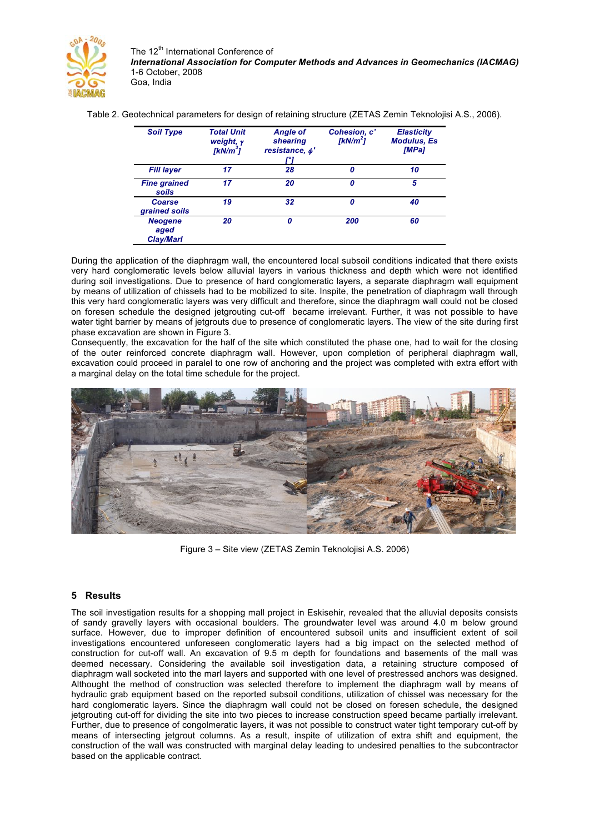

Table 2. Geotechnical parameters for design of retaining structure (ZETAS Zemin Teknolojisi A.S., 2006).

| <b>Soil Type</b>                           | <b>Total Unit</b><br>weight, $\gamma$<br>[kN/m <sup>3</sup> ] | <b>Angle of</b><br>shearing<br>resistance, $\phi'$ | Cohesion, c'<br>[ $kN/m^2$ ] | <b>Elasticity</b><br><b>Modulus, Es</b><br>[MPa] |
|--------------------------------------------|---------------------------------------------------------------|----------------------------------------------------|------------------------------|--------------------------------------------------|
| <b>Fill layer</b>                          | 17                                                            | 28                                                 | 0                            | 10                                               |
| <b>Fine grained</b><br>soils               | 17                                                            | 20                                                 | 0                            | 5                                                |
| Coarse<br>grained soils                    | 19                                                            | 32                                                 | 0                            | 40                                               |
| <b>Neogene</b><br>aged<br><b>Clay/Marl</b> | 20                                                            |                                                    | 200                          | 60                                               |

During the application of the diaphragm wall, the encountered local subsoil conditions indicated that there exists very hard conglomeratic levels below alluvial layers in various thickness and depth which were not identified during soil investigations. Due to presence of hard conglomeratic layers, a separate diaphragm wall equipment by means of utilization of chissels had to be mobilized to site. Inspite, the penetration of diaphragm wall through this very hard conglomeratic layers was very difficult and therefore, since the diaphragm wall could not be closed on foresen schedule the designed jetgrouting cut-off became irrelevant. Further, it was not possible to have water tight barrier by means of jetgrouts due to presence of conglomeratic layers. The view of the site during first phase excavation are shown in Figure 3.

Consequently, the excavation for the half of the site which constituted the phase one, had to wait for the closing of the outer reinforced concrete diaphragm wall. However, upon completion of peripheral diaphragm wall, excavation could proceed in paralel to one row of anchoring and the project was completed with extra effort with a marginal delay on the total time schedule for the project.



Figure 3 – Site view (ZETAS Zemin Teknolojisi A.S. 2006)

## **5 Results**

The soil investigation results for a shopping mall project in Eskisehir, revealed that the alluvial deposits consists of sandy gravelly layers with occasional boulders. The groundwater level was around 4.0 m below ground surface. However, due to improper definition of encountered subsoil units and insufficient extent of soil investigations encountered unforeseen conglomeratic layers had a big impact on the selected method of construction for cut-off wall. An excavation of 9.5 m depth for foundations and basements of the mall was deemed necessary. Considering the available soil investigation data, a retaining structure composed of diaphragm wall socketed into the marl layers and supported with one level of prestressed anchors was designed. Althought the method of construction was selected therefore to implement the diaphragm wall by means of hydraulic grab equipment based on the reported subsoil conditions, utilization of chissel was necessary for the hard conglomeratic layers. Since the diaphragm wall could not be closed on foresen schedule, the designed jetgrouting cut-off for dividing the site into two pieces to increase construction speed became partially irrelevant. Further, due to presence of congolmeratic layers, it was not possible to construct water tight temporary cut-off by means of intersecting jetgrout columns. As a result, inspite of utilization of extra shift and equipment, the construction of the wall was constructed with marginal delay leading to undesired penalties to the subcontractor based on the applicable contract.